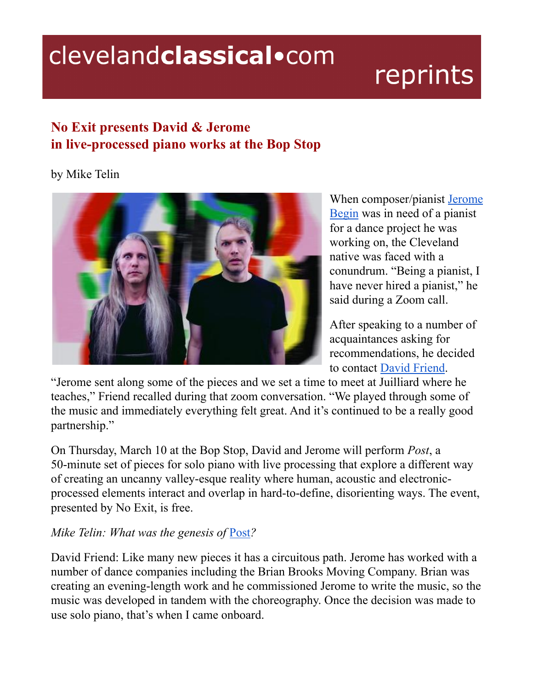## clevelandclassical.com

# reprints

### **No Exit presents David & Jerome in live-processed piano works at the Bop Stop**

#### by Mike Telin



When composer/pianist [Jerome](https://www.jeromebegin.com/) [Begin](https://www.jeromebegin.com/) was in need of a pianist for a dance project he was working on, the Cleveland native was faced with a conundrum. "Being a pianist, I have never hired a pianist," he said during a Zoom call.

After speaking to a number of acquaintances asking for recommendations, he decided to contact David [Friend](https://www.davidfriendpiano.net/about).

"Jerome sent along some of the pieces and we set a time to meet at Juilliard where he teaches," Friend recalled during that zoom conversation. "We played through some of the music and immediately everything felt great. And it's continued to be a really good partnership."

On Thursday, March 10 at the Bop Stop, David and Jerome will perform *Post*, a 50-minute set of pieces for solo piano with live processing that explore a different way of creating an uncanny valley-esque reality where human, acoustic and electronicprocessed elements interact and overlap in hard-to-define, disorienting ways. The event, presented by No Exit, is free.

#### *Mike Telin: What was the genesis of* [Post](https://www.postpiano.net/)*?*

David Friend: Like many new pieces it has a circuitous path. Jerome has worked with a number of dance companies including the Brian Brooks Moving Company. Brian was creating an evening-length work and he commissioned Jerome to write the music, so the music was developed in tandem with the choreography. Once the decision was made to use solo piano, that's when I came onboard.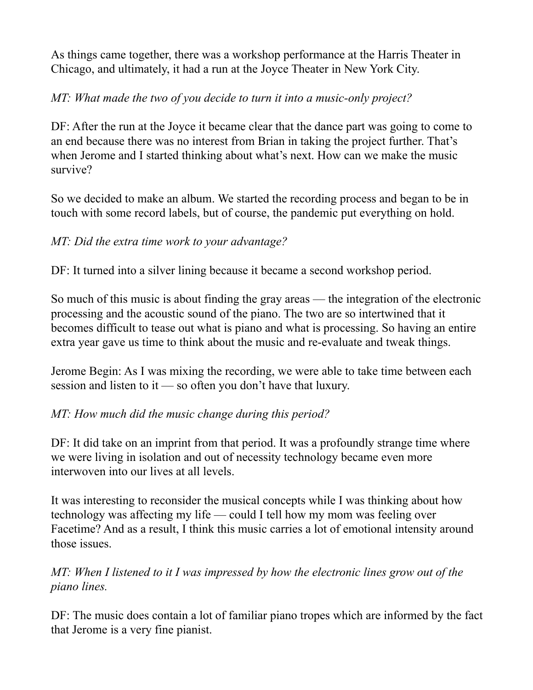As things came together, there was a workshop performance at the Harris Theater in Chicago, and ultimately, it had a run at the Joyce Theater in New York City.

#### *MT: What made the two of you decide to turn it into a music-only project?*

DF: After the run at the Joyce it became clear that the dance part was going to come to an end because there was no interest from Brian in taking the project further. That's when Jerome and I started thinking about what's next. How can we make the music survive?

So we decided to make an album. We started the recording process and began to be in touch with some record labels, but of course, the pandemic put everything on hold.

#### *MT: Did the extra time work to your advantage?*

DF: It turned into a silver lining because it became a second workshop period.

So much of this music is about finding the gray areas — the integration of the electronic processing and the acoustic sound of the piano. The two are so intertwined that it becomes difficult to tease out what is piano and what is processing. So having an entire extra year gave us time to think about the music and re-evaluate and tweak things.

Jerome Begin: As I was mixing the recording, we were able to take time between each session and listen to it — so often you don't have that luxury.

#### *MT: How much did the music change during this period?*

DF: It did take on an imprint from that period. It was a profoundly strange time where we were living in isolation and out of necessity technology became even more interwoven into our lives at all levels.

It was interesting to reconsider the musical concepts while I was thinking about how technology was affecting my life — could I tell how my mom was feeling over Facetime? And as a result, I think this music carries a lot of emotional intensity around those issues.

*MT: When I listened to it I was impressed by how the electronic lines grow out of the piano lines.*

DF: The music does contain a lot of familiar piano tropes which are informed by the fact that Jerome is a very fine pianist.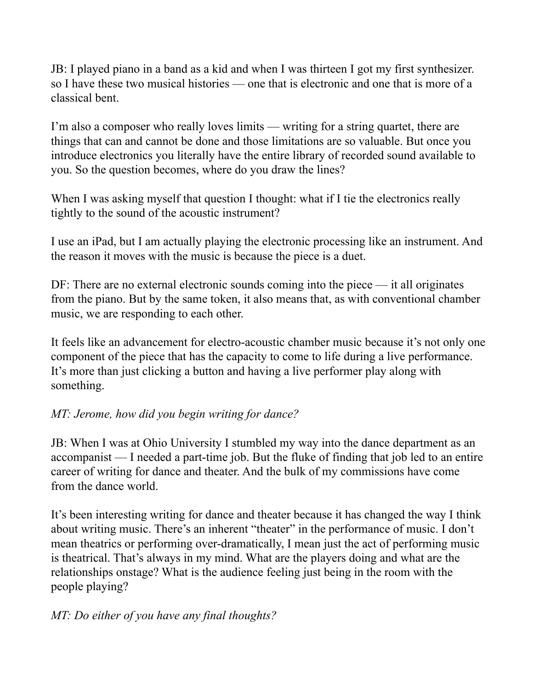JB: I played piano in a band as a kid and when I was thirteen I got my first synthesizer. so I have these two musical histories — one that is electronic and one that is more of a classical bent.

I'm also a composer who really loves limits — writing for a string quartet, there are things that can and cannot be done and those limitations are so valuable. But once you introduce electronics you literally have the entire library of recorded sound available to you. So the question becomes, where do you draw the lines?

When I was asking myself that question I thought: what if I tie the electronics really tightly to the sound of the acoustic instrument?

I use an iPad, but I am actually playing the electronic processing like an instrument. And the reason it moves with the music is because the piece is a duet.

DF: There are no external electronic sounds coming into the piece — it all originates from the piano. But by the same token, it also means that, as with conventional chamber music, we are responding to each other.

It feels like an advancement for electro-acoustic chamber music because it's not only one component of the piece that has the capacity to come to life during a live performance. It's more than just clicking a button and having a live performer play along with something.

#### *MT: Jerome, how did you begin writing for dance?*

JB: When I was at Ohio University I stumbled my way into the dance department as an accompanist — I needed a part-time job. But the fluke of finding that job led to an entire career of writing for dance and theater. And the bulk of my commissions have come from the dance world.

It's been interesting writing for dance and theater because it has changed the way I think about writing music. There's an inherent "theater" in the performance of music. I don't mean theatrics or performing over-dramatically, I mean just the act of performing music is theatrical. That's always in my mind. What are the players doing and what are the relationships onstage? What is the audience feeling just being in the room with the people playing?

#### *MT: Do either of you have any final thoughts?*